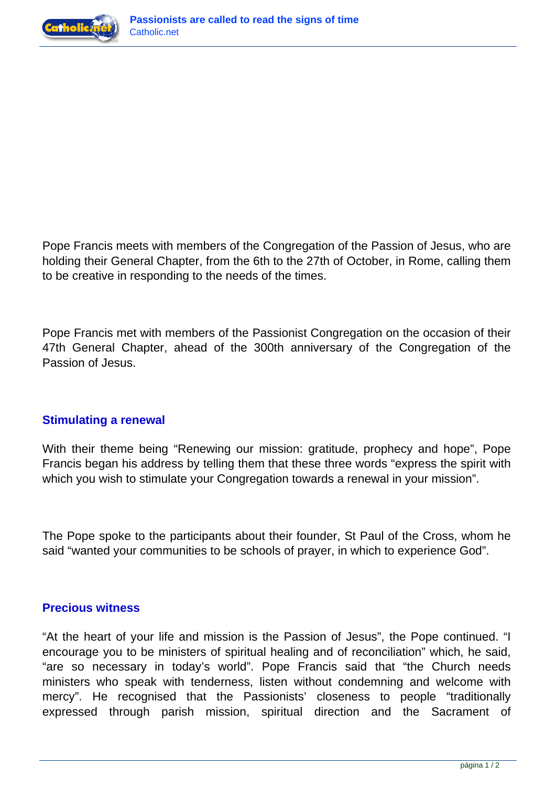



Pope Francis meets with members of the Congregation of the Passion of Jesus, who are holding their General Chapter, from the 6th to the 27th of October, in Rome, calling them to be creative in responding to the needs of the times.

Pope Francis met with members of the Passionist Congregation on the occasion of their 47th General Chapter, ahead of the 300th anniversary of the Congregation of the Passion of Jesus.

## **Stimulating a renewal**

With their theme being "Renewing our mission: gratitude, prophecy and hope", Pope Francis began his address by telling them that these three words "express the spirit with which you wish to stimulate your Congregation towards a renewal in your mission".

The Pope spoke to the participants about their founder, St Paul of the Cross, whom he said "wanted your communities to be schools of prayer, in which to experience God".

## **Precious witness**

"At the heart of your life and mission is the Passion of Jesus", the Pope continued. "I encourage you to be ministers of spiritual healing and of reconciliation" which, he said, "are so necessary in today's world". Pope Francis said that "the Church needs ministers who speak with tenderness, listen without condemning and welcome with mercy". He recognised that the Passionists' closeness to people "traditionally expressed through parish mission, spiritual direction and the Sacrament of